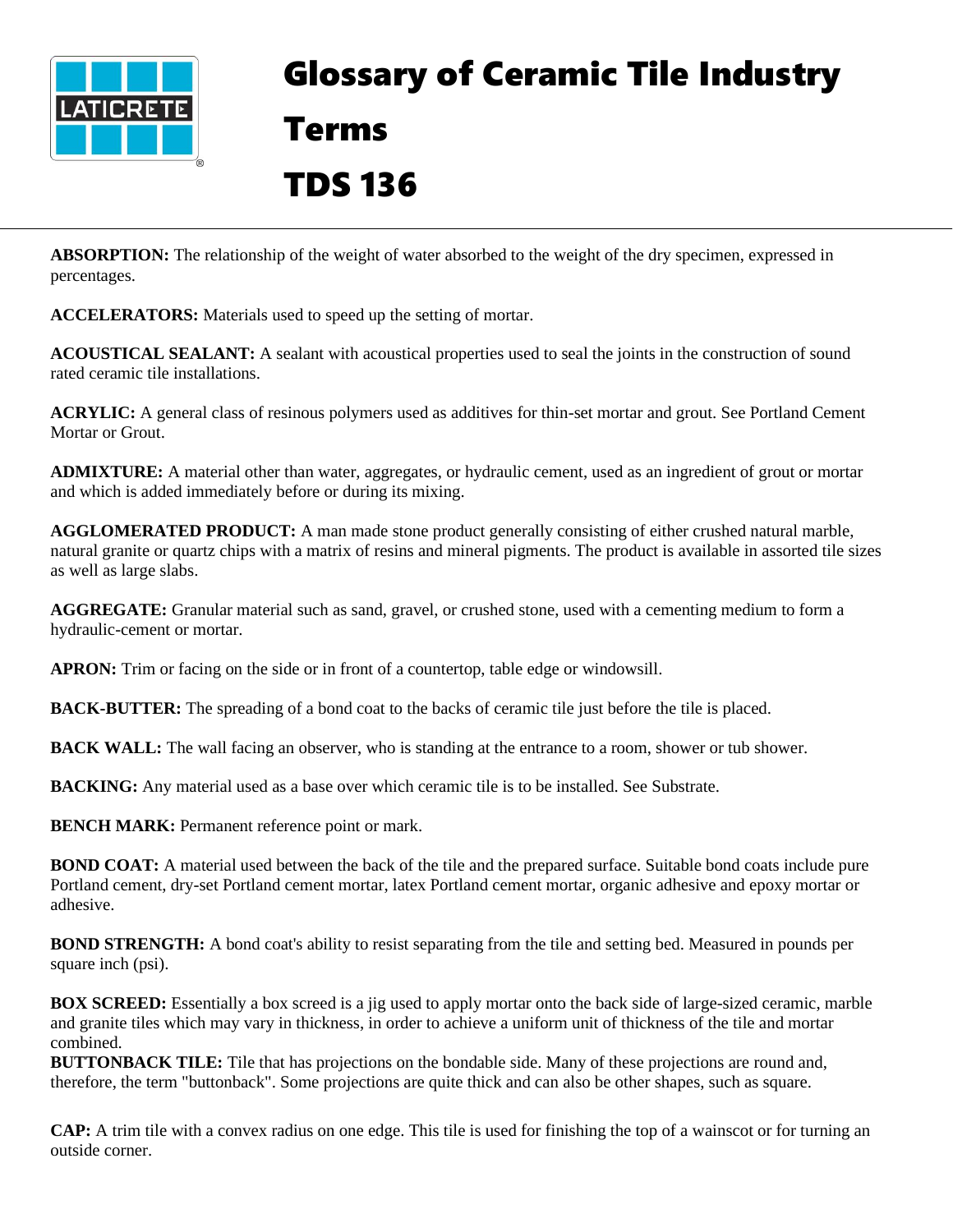

## Glossary of Ceramic Tile Industry Terms TDS 136

**ABSORPTION:** The relationship of the weight of water absorbed to the weight of the dry specimen, expressed in percentages.

**ACCELERATORS:** Materials used to speed up the setting of mortar.

**ACOUSTICAL SEALANT:** A sealant with acoustical properties used to seal the joints in the construction of sound rated ceramic tile installations.

**ACRYLIC:** A general class of resinous polymers used as additives for thin-set mortar and grout. See Portland Cement Mortar or Grout.

**ADMIXTURE:** A material other than water, aggregates, or hydraulic cement, used as an ingredient of grout or mortar and which is added immediately before or during its mixing.

**AGGLOMERATED PRODUCT:** A man made stone product generally consisting of either crushed natural marble, natural granite or quartz chips with a matrix of resins and mineral pigments. The product is available in assorted tile sizes as well as large slabs.

**AGGREGATE:** Granular material such as sand, gravel, or crushed stone, used with a cementing medium to form a hydraulic-cement or mortar.

**APRON:** Trim or facing on the side or in front of a countertop, table edge or windowsill.

**BACK-BUTTER:** The spreading of a bond coat to the backs of ceramic tile just before the tile is placed.

**BACK WALL:** The wall facing an observer, who is standing at the entrance to a room, shower or tub shower.

**BACKING:** Any material used as a base over which ceramic tile is to be installed. See Substrate.

**BENCH MARK:** Permanent reference point or mark.

**BOND COAT:** A material used between the back of the tile and the prepared surface. Suitable bond coats include pure Portland cement, dry-set Portland cement mortar, latex Portland cement mortar, organic adhesive and epoxy mortar or adhesive.

**BOND STRENGTH:** A bond coat's ability to resist separating from the tile and setting bed. Measured in pounds per square inch (psi).

**BOX SCREED:** Essentially a box screed is a jig used to apply mortar onto the back side of large-sized ceramic, marble and granite tiles which may vary in thickness, in order to achieve a uniform unit of thickness of the tile and mortar combined.

**BUTTONBACK TILE:** Tile that has projections on the bondable side. Many of these projections are round and, therefore, the term "buttonback". Some projections are quite thick and can also be other shapes, such as square.

**CAP:** A trim tile with a convex radius on one edge. This tile is used for finishing the top of a wainscot or for turning an outside corner.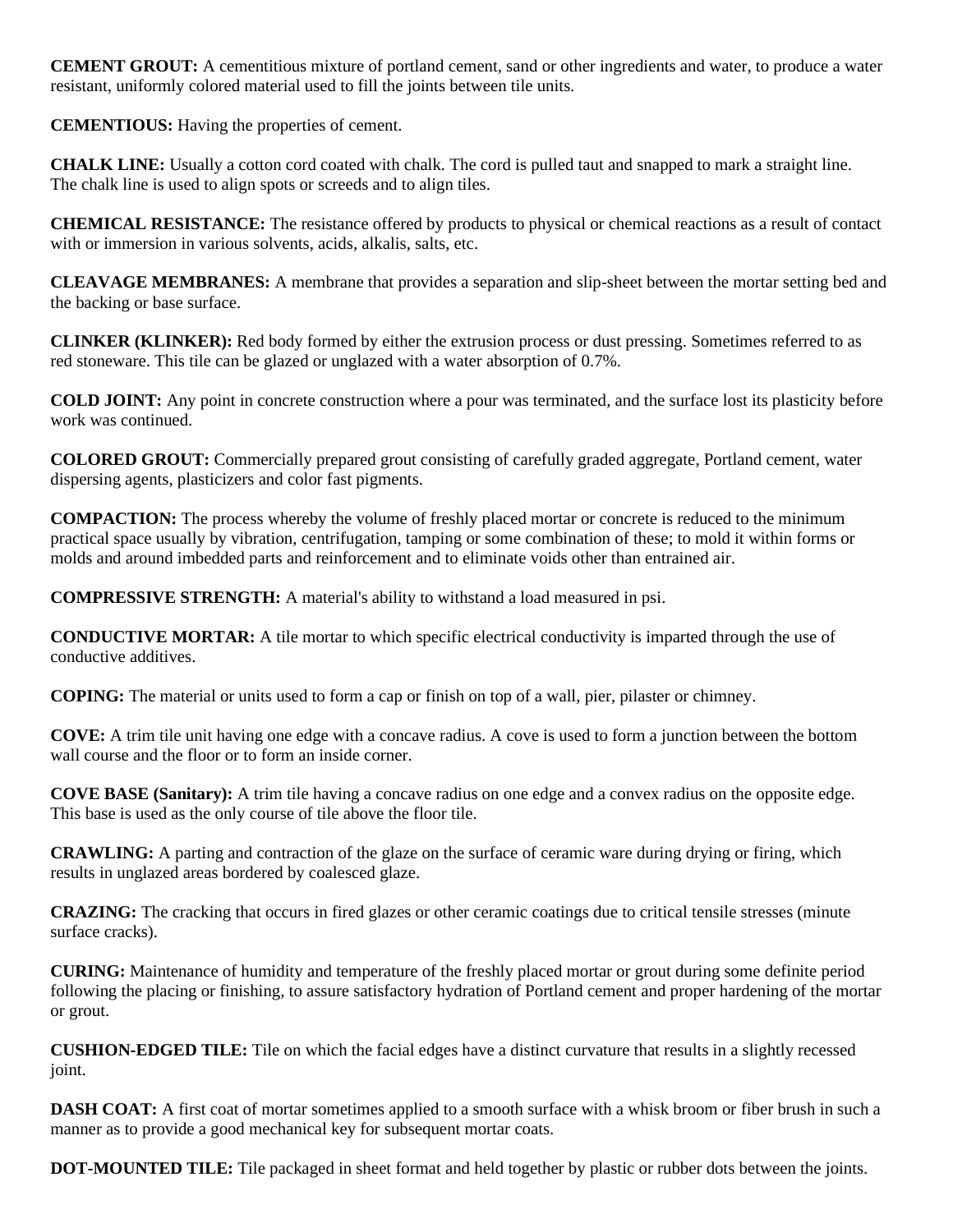**CEMENT GROUT:** A cementitious mixture of portland cement, sand or other ingredients and water, to produce a water resistant, uniformly colored material used to fill the joints between tile units.

**CEMENTIOUS:** Having the properties of cement.

**CHALK LINE:** Usually a cotton cord coated with chalk. The cord is pulled taut and snapped to mark a straight line. The chalk line is used to align spots or screeds and to align tiles.

**CHEMICAL RESISTANCE:** The resistance offered by products to physical or chemical reactions as a result of contact with or immersion in various solvents, acids, alkalis, salts, etc.

**CLEAVAGE MEMBRANES:** A membrane that provides a separation and slip-sheet between the mortar setting bed and the backing or base surface.

**CLINKER (KLINKER):** Red body formed by either the extrusion process or dust pressing. Sometimes referred to as red stoneware. This tile can be glazed or unglazed with a water absorption of 0.7%.

**COLD JOINT:** Any point in concrete construction where a pour was terminated, and the surface lost its plasticity before work was continued.

**COLORED GROUT:** Commercially prepared grout consisting of carefully graded aggregate, Portland cement, water dispersing agents, plasticizers and color fast pigments.

**COMPACTION:** The process whereby the volume of freshly placed mortar or concrete is reduced to the minimum practical space usually by vibration, centrifugation, tamping or some combination of these; to mold it within forms or molds and around imbedded parts and reinforcement and to eliminate voids other than entrained air.

**COMPRESSIVE STRENGTH:** A material's ability to withstand a load measured in psi.

**CONDUCTIVE MORTAR:** A tile mortar to which specific electrical conductivity is imparted through the use of conductive additives.

**COPING:** The material or units used to form a cap or finish on top of a wall, pier, pilaster or chimney.

**COVE:** A trim tile unit having one edge with a concave radius. A cove is used to form a junction between the bottom wall course and the floor or to form an inside corner.

**COVE BASE (Sanitary):** A trim tile having a concave radius on one edge and a convex radius on the opposite edge. This base is used as the only course of tile above the floor tile.

**CRAWLING:** A parting and contraction of the glaze on the surface of ceramic ware during drying or firing, which results in unglazed areas bordered by coalesced glaze.

**CRAZING:** The cracking that occurs in fired glazes or other ceramic coatings due to critical tensile stresses (minute surface cracks).

**CURING:** Maintenance of humidity and temperature of the freshly placed mortar or grout during some definite period following the placing or finishing, to assure satisfactory hydration of Portland cement and proper hardening of the mortar or grout.

**CUSHION-EDGED TILE:** Tile on which the facial edges have a distinct curvature that results in a slightly recessed joint.

**DASH COAT:** A first coat of mortar sometimes applied to a smooth surface with a whisk broom or fiber brush in such a manner as to provide a good mechanical key for subsequent mortar coats.

**DOT-MOUNTED TILE:** Tile packaged in sheet format and held together by plastic or rubber dots between the joints.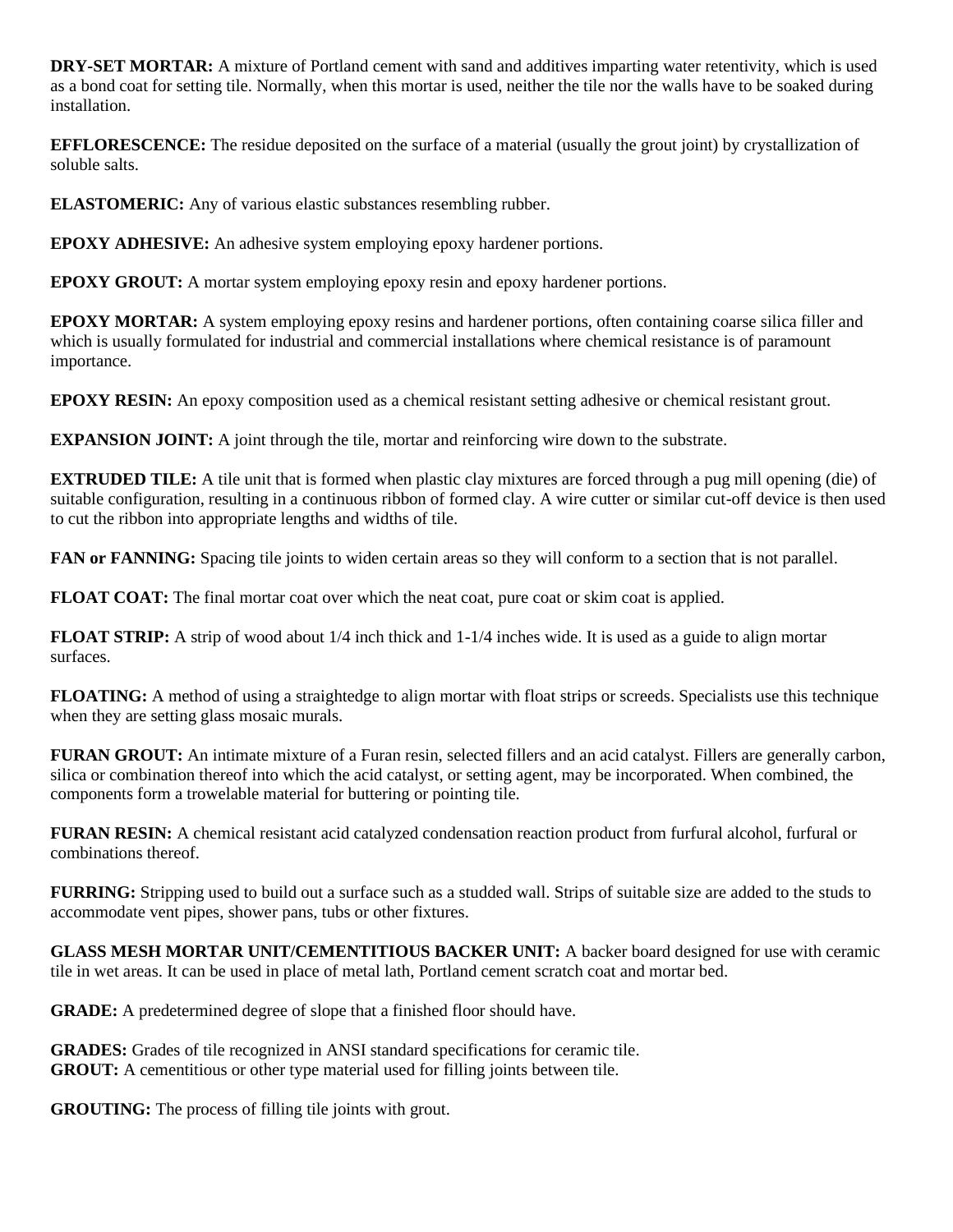**DRY-SET MORTAR:** A mixture of Portland cement with sand and additives imparting water retentivity, which is used as a bond coat for setting tile. Normally, when this mortar is used, neither the tile nor the walls have to be soaked during installation.

**EFFLORESCENCE:** The residue deposited on the surface of a material (usually the grout joint) by crystallization of soluble salts.

**ELASTOMERIC:** Any of various elastic substances resembling rubber.

**EPOXY ADHESIVE:** An adhesive system employing epoxy hardener portions.

**EPOXY GROUT:** A mortar system employing epoxy resin and epoxy hardener portions.

**EPOXY MORTAR:** A system employing epoxy resins and hardener portions, often containing coarse silica filler and which is usually formulated for industrial and commercial installations where chemical resistance is of paramount importance.

**EPOXY RESIN:** An epoxy composition used as a chemical resistant setting adhesive or chemical resistant grout.

**EXPANSION JOINT:** A joint through the tile, mortar and reinforcing wire down to the substrate.

**EXTRUDED TILE:** A tile unit that is formed when plastic clay mixtures are forced through a pug mill opening (die) of suitable configuration, resulting in a continuous ribbon of formed clay. A wire cutter or similar cut-off device is then used to cut the ribbon into appropriate lengths and widths of tile.

**FAN or FANNING:** Spacing tile joints to widen certain areas so they will conform to a section that is not parallel.

**FLOAT COAT:** The final mortar coat over which the neat coat, pure coat or skim coat is applied.

**FLOAT STRIP:** A strip of wood about  $1/4$  inch thick and  $1-1/4$  inches wide. It is used as a guide to align mortar surfaces.

**FLOATING:** A method of using a straightedge to align mortar with float strips or screeds. Specialists use this technique when they are setting glass mosaic murals.

**FURAN GROUT:** An intimate mixture of a Furan resin, selected fillers and an acid catalyst. Fillers are generally carbon, silica or combination thereof into which the acid catalyst, or setting agent, may be incorporated. When combined, the components form a trowelable material for buttering or pointing tile.

**FURAN RESIN:** A chemical resistant acid catalyzed condensation reaction product from furfural alcohol, furfural or combinations thereof.

**FURRING:** Stripping used to build out a surface such as a studded wall. Strips of suitable size are added to the studs to accommodate vent pipes, shower pans, tubs or other fixtures.

**GLASS MESH MORTAR UNIT/CEMENTITIOUS BACKER UNIT:** A backer board designed for use with ceramic tile in wet areas. It can be used in place of metal lath, Portland cement scratch coat and mortar bed.

**GRADE:** A predetermined degree of slope that a finished floor should have.

**GRADES:** Grades of tile recognized in ANSI standard specifications for ceramic tile. **GROUT:** A cementitious or other type material used for filling joints between tile.

**GROUTING:** The process of filling tile joints with grout.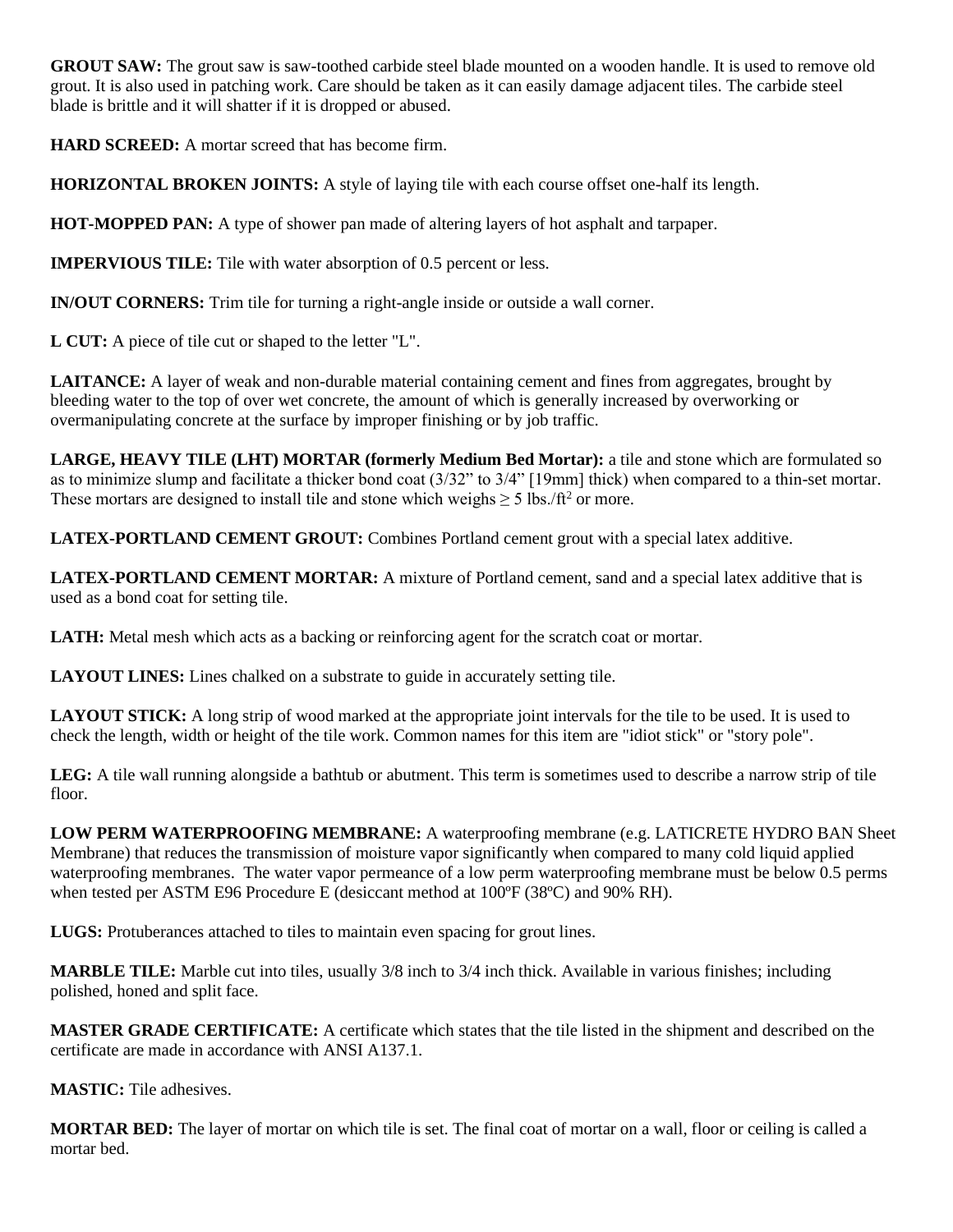**GROUT SAW:** The grout saw is saw-toothed carbide steel blade mounted on a wooden handle. It is used to remove old grout. It is also used in patching work. Care should be taken as it can easily damage adjacent tiles. The carbide steel blade is brittle and it will shatter if it is dropped or abused.

**HARD SCREED:** A mortar screed that has become firm.

**HORIZONTAL BROKEN JOINTS:** A style of laying tile with each course offset one-half its length.

**HOT-MOPPED PAN:** A type of shower pan made of altering layers of hot asphalt and tarpaper.

**IMPERVIOUS TILE:** Tile with water absorption of 0.5 percent or less.

**IN/OUT CORNERS:** Trim tile for turning a right-angle inside or outside a wall corner.

**L CUT:** A piece of tile cut or shaped to the letter "L".

**LAITANCE:** A layer of weak and non-durable material containing cement and fines from aggregates, brought by bleeding water to the top of over wet concrete, the amount of which is generally increased by overworking or overmanipulating concrete at the surface by improper finishing or by job traffic.

**LARGE, HEAVY TILE (LHT) MORTAR (formerly Medium Bed Mortar):** a tile and stone which are formulated so as to minimize slump and facilitate a thicker bond coat (3/32" to 3/4" [19mm] thick) when compared to a thin-set mortar. These mortars are designed to install tile and stone which weighs  $\geq 5$  lbs./ft<sup>2</sup> or more.

LATEX-PORTLAND CEMENT GROUT: Combines Portland cement grout with a special latex additive.

**LATEX-PORTLAND CEMENT MORTAR:** A mixture of Portland cement, sand and a special latex additive that is used as a bond coat for setting tile.

LATH: Metal mesh which acts as a backing or reinforcing agent for the scratch coat or mortar.

LAYOUT LINES: Lines chalked on a substrate to guide in accurately setting tile.

**LAYOUT STICK:** A long strip of wood marked at the appropriate joint intervals for the tile to be used. It is used to check the length, width or height of the tile work. Common names for this item are "idiot stick" or "story pole".

**LEG:** A tile wall running alongside a bathtub or abutment. This term is sometimes used to describe a narrow strip of tile floor.

**LOW PERM WATERPROOFING MEMBRANE:** A waterproofing membrane (e.g. LATICRETE HYDRO BAN Sheet Membrane) that reduces the transmission of moisture vapor significantly when compared to many cold liquid applied waterproofing membranes. The water vapor permeance of a low perm waterproofing membrane must be below 0.5 perms when tested per ASTM E96 Procedure E (desiccant method at 100°F (38°C) and 90% RH).

**LUGS:** Protuberances attached to tiles to maintain even spacing for grout lines.

**MARBLE TILE:** Marble cut into tiles, usually 3/8 inch to 3/4 inch thick. Available in various finishes; including polished, honed and split face.

**MASTER GRADE CERTIFICATE:** A certificate which states that the tile listed in the shipment and described on the certificate are made in accordance with ANSI A137.1.

**MASTIC:** Tile adhesives.

**MORTAR BED:** The layer of mortar on which tile is set. The final coat of mortar on a wall, floor or ceiling is called a mortar bed.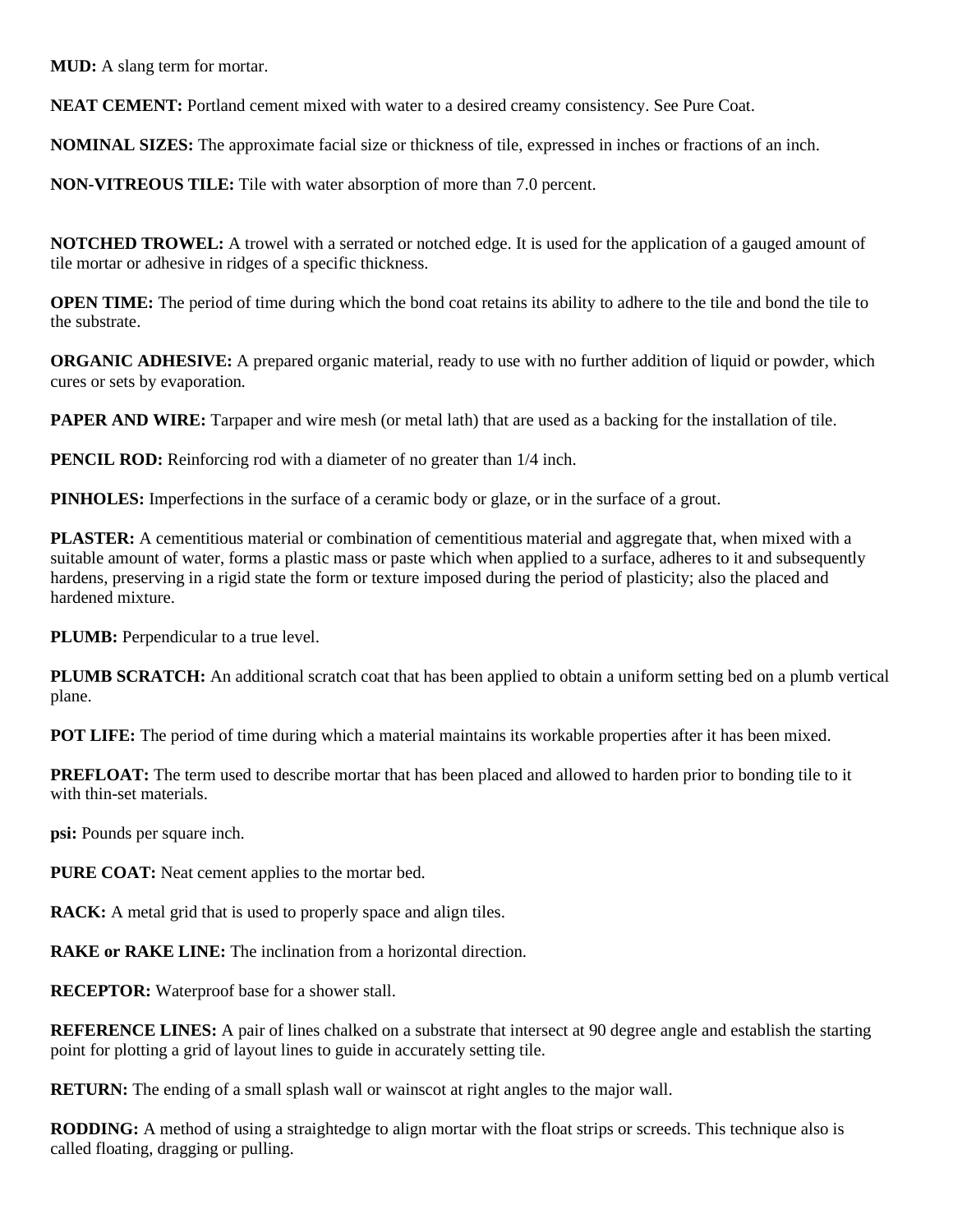**MUD:** A slang term for mortar.

**NEAT CEMENT:** Portland cement mixed with water to a desired creamy consistency. See Pure Coat.

**NOMINAL SIZES:** The approximate facial size or thickness of tile, expressed in inches or fractions of an inch.

**NON-VITREOUS TILE:** Tile with water absorption of more than 7.0 percent.

**NOTCHED TROWEL:** A trowel with a serrated or notched edge. It is used for the application of a gauged amount of tile mortar or adhesive in ridges of a specific thickness.

**OPEN TIME:** The period of time during which the bond coat retains its ability to adhere to the tile and bond the tile to the substrate.

**ORGANIC ADHESIVE:** A prepared organic material, ready to use with no further addition of liquid or powder, which cures or sets by evaporation.

**PAPER AND WIRE:** Tarpaper and wire mesh (or metal lath) that are used as a backing for the installation of tile.

**PENCIL ROD:** Reinforcing rod with a diameter of no greater than  $1/4$  inch.

**PINHOLES:** Imperfections in the surface of a ceramic body or glaze, or in the surface of a grout.

**PLASTER:** A cementitious material or combination of cementitious material and aggregate that, when mixed with a suitable amount of water, forms a plastic mass or paste which when applied to a surface, adheres to it and subsequently hardens, preserving in a rigid state the form or texture imposed during the period of plasticity; also the placed and hardened mixture.

**PLUMB:** Perpendicular to a true level.

**PLUMB SCRATCH:** An additional scratch coat that has been applied to obtain a uniform setting bed on a plumb vertical plane.

**POT LIFE:** The period of time during which a material maintains its workable properties after it has been mixed.

**PREFLOAT:** The term used to describe mortar that has been placed and allowed to harden prior to bonding tile to it with thin-set materials.

**psi:** Pounds per square inch.

PURE COAT: Neat cement applies to the mortar bed.

**RACK:** A metal grid that is used to properly space and align tiles.

**RAKE or RAKE LINE:** The inclination from a horizontal direction.

**RECEPTOR:** Waterproof base for a shower stall.

**REFERENCE LINES:** A pair of lines chalked on a substrate that intersect at 90 degree angle and establish the starting point for plotting a grid of layout lines to guide in accurately setting tile.

**RETURN:** The ending of a small splash wall or wainscot at right angles to the major wall.

**RODDING:** A method of using a straightedge to align mortar with the float strips or screeds. This technique also is called floating, dragging or pulling.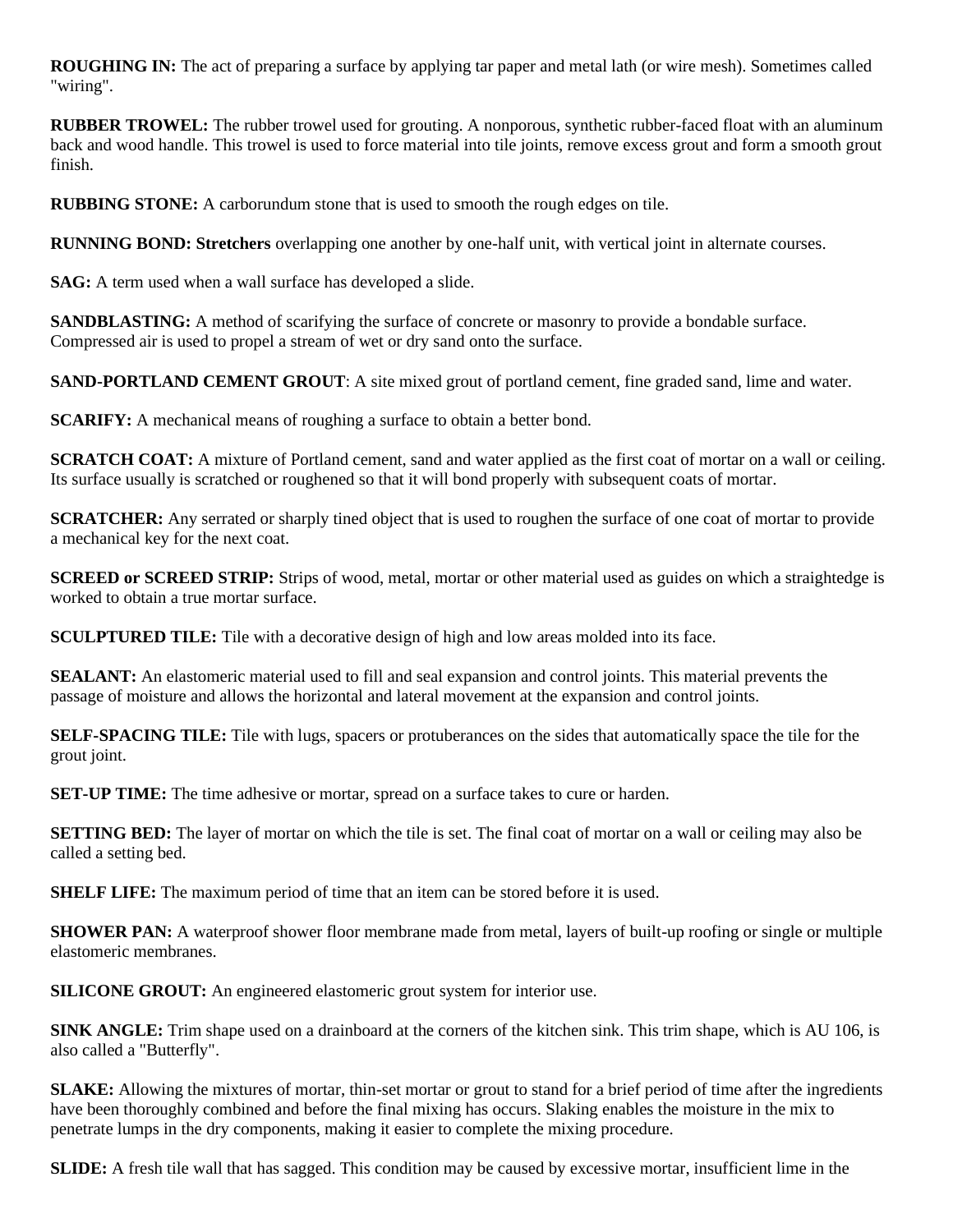**ROUGHING IN:** The act of preparing a surface by applying tar paper and metal lath (or wire mesh). Sometimes called "wiring".

**RUBBER TROWEL:** The rubber trowel used for grouting. A nonporous, synthetic rubber-faced float with an aluminum back and wood handle. This trowel is used to force material into tile joints, remove excess grout and form a smooth grout finish.

**RUBBING STONE:** A carborundum stone that is used to smooth the rough edges on tile.

**RUNNING BOND: Stretchers** overlapping one another by one-half unit, with vertical joint in alternate courses.

**SAG:** A term used when a wall surface has developed a slide.

**SANDBLASTING:** A method of scarifying the surface of concrete or masonry to provide a bondable surface. Compressed air is used to propel a stream of wet or dry sand onto the surface.

**SAND-PORTLAND CEMENT GROUT**: A site mixed grout of portland cement, fine graded sand, lime and water.

**SCARIFY:** A mechanical means of roughing a surface to obtain a better bond.

**SCRATCH COAT:** A mixture of Portland cement, sand and water applied as the first coat of mortar on a wall or ceiling. Its surface usually is scratched or roughened so that it will bond properly with subsequent coats of mortar.

**SCRATCHER:** Any serrated or sharply tined object that is used to roughen the surface of one coat of mortar to provide a mechanical key for the next coat.

**SCREED or SCREED STRIP:** Strips of wood, metal, mortar or other material used as guides on which a straightedge is worked to obtain a true mortar surface.

**SCULPTURED TILE:** Tile with a decorative design of high and low areas molded into its face.

**SEALANT:** An elastomeric material used to fill and seal expansion and control joints. This material prevents the passage of moisture and allows the horizontal and lateral movement at the expansion and control joints.

**SELF-SPACING TILE:** Tile with lugs, spacers or protuberances on the sides that automatically space the tile for the grout joint.

**SET-UP TIME:** The time adhesive or mortar, spread on a surface takes to cure or harden.

**SETTING BED:** The layer of mortar on which the tile is set. The final coat of mortar on a wall or ceiling may also be called a setting bed.

**SHELF LIFE:** The maximum period of time that an item can be stored before it is used.

**SHOWER PAN:** A waterproof shower floor membrane made from metal, layers of built-up roofing or single or multiple elastomeric membranes.

**SILICONE GROUT:** An engineered elastomeric grout system for interior use.

**SINK ANGLE:** Trim shape used on a drainboard at the corners of the kitchen sink. This trim shape, which is AU 106, is also called a "Butterfly".

**SLAKE:** Allowing the mixtures of mortar, thin-set mortar or grout to stand for a brief period of time after the ingredients have been thoroughly combined and before the final mixing has occurs. Slaking enables the moisture in the mix to penetrate lumps in the dry components, making it easier to complete the mixing procedure.

**SLIDE:** A fresh tile wall that has sagged. This condition may be caused by excessive mortar, insufficient lime in the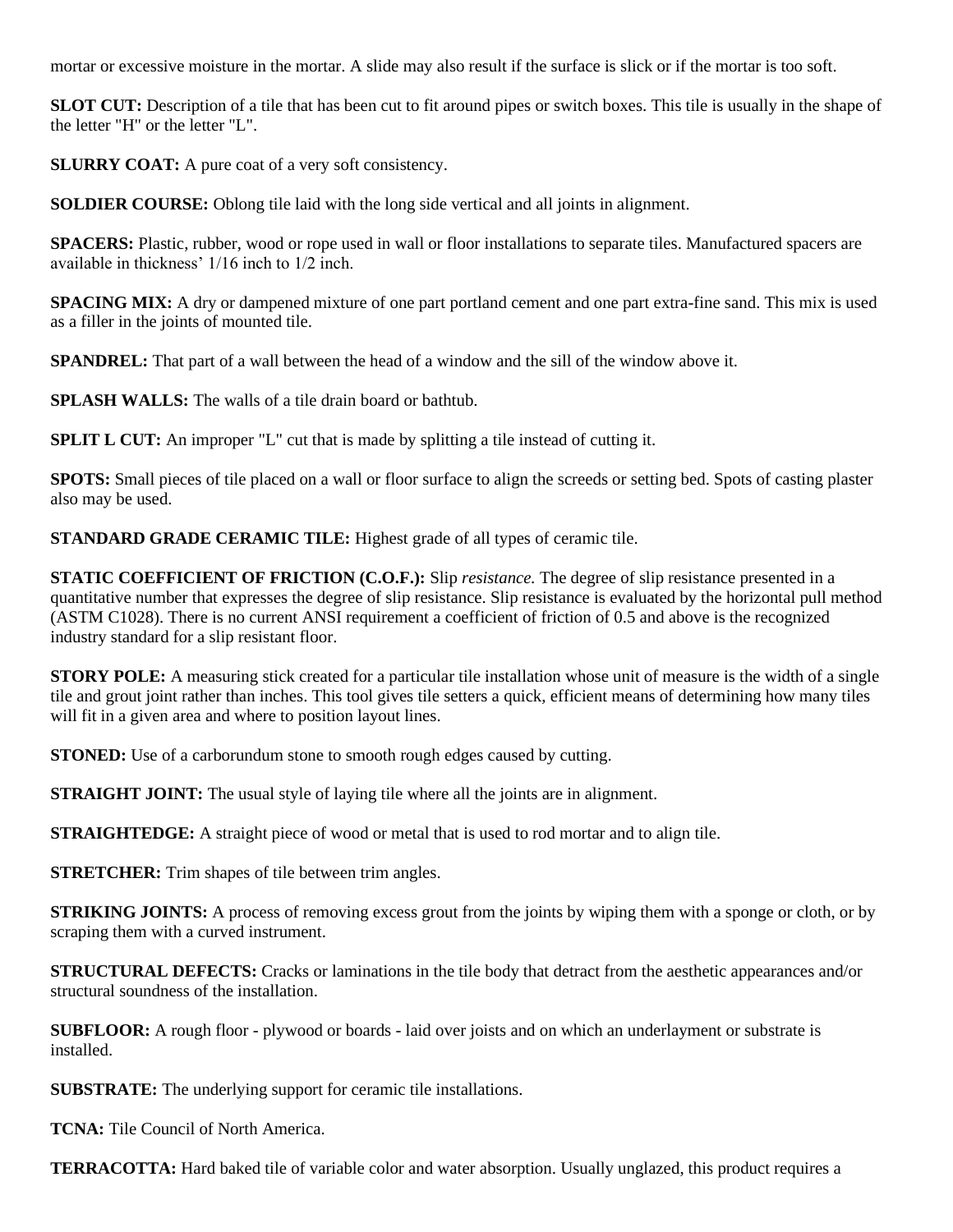mortar or excessive moisture in the mortar. A slide may also result if the surface is slick or if the mortar is too soft.

**SLOT CUT:** Description of a tile that has been cut to fit around pipes or switch boxes. This tile is usually in the shape of the letter "H" or the letter "L".

**SLURRY COAT:** A pure coat of a very soft consistency.

**SOLDIER COURSE:** Oblong tile laid with the long side vertical and all joints in alignment.

**SPACERS:** Plastic, rubber, wood or rope used in wall or floor installations to separate tiles. Manufactured spacers are available in thickness' 1/16 inch to 1/2 inch.

**SPACING MIX:** A dry or dampened mixture of one part portland cement and one part extra-fine sand. This mix is used as a filler in the joints of mounted tile.

**SPANDREL:** That part of a wall between the head of a window and the sill of the window above it.

**SPLASH WALLS:** The walls of a tile drain board or bathtub.

**SPLIT L CUT:** An improper "L" cut that is made by splitting a tile instead of cutting it.

**SPOTS:** Small pieces of tile placed on a wall or floor surface to align the screeds or setting bed. Spots of casting plaster also may be used.

**STANDARD GRADE CERAMIC TILE:** Highest grade of all types of ceramic tile.

**STATIC COEFFICIENT OF FRICTION (C.O.F.):** Slip *resistance.* The degree of slip resistance presented in a quantitative number that expresses the degree of slip resistance. Slip resistance is evaluated by the horizontal pull method (ASTM C1028). There is no current ANSI requirement a coefficient of friction of 0.5 and above is the recognized industry standard for a slip resistant floor.

**STORY POLE:** A measuring stick created for a particular tile installation whose unit of measure is the width of a single tile and grout joint rather than inches. This tool gives tile setters a quick, efficient means of determining how many tiles will fit in a given area and where to position layout lines.

**STONED:** Use of a carborundum stone to smooth rough edges caused by cutting.

**STRAIGHT JOINT:** The usual style of laying tile where all the joints are in alignment.

**STRAIGHTEDGE:** A straight piece of wood or metal that is used to rod mortar and to align tile.

**STRETCHER:** Trim shapes of tile between trim angles.

**STRIKING JOINTS:** A process of removing excess grout from the joints by wiping them with a sponge or cloth, or by scraping them with a curved instrument.

**STRUCTURAL DEFECTS:** Cracks or laminations in the tile body that detract from the aesthetic appearances and/or structural soundness of the installation.

**SUBFLOOR:** A rough floor - plywood or boards - laid over joists and on which an underlayment or substrate is installed.

**SUBSTRATE:** The underlying support for ceramic tile installations.

**TCNA:** Tile Council of North America.

**TERRACOTTA:** Hard baked tile of variable color and water absorption. Usually unglazed, this product requires a